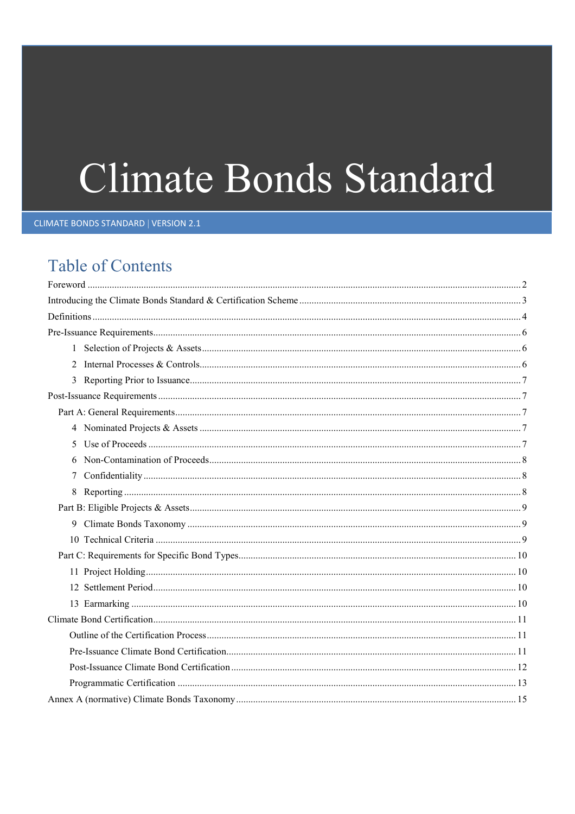# Climate Bonds Standard

**CLIMATE BONDS STANDARD | VERSION 2.1** 

# **Table of Contents**

| 7 |  |
|---|--|
|   |  |
|   |  |
|   |  |
|   |  |
|   |  |
|   |  |
|   |  |
|   |  |
|   |  |
|   |  |
|   |  |
|   |  |
|   |  |
|   |  |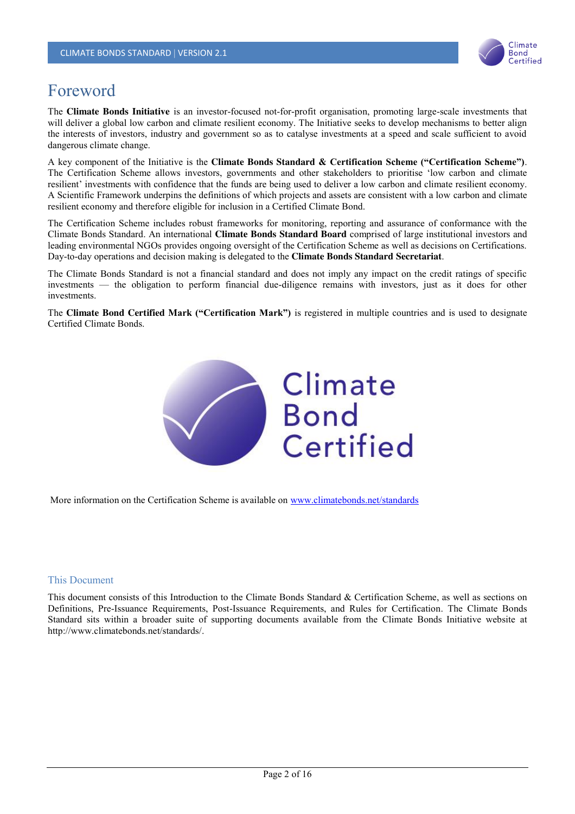

# Foreword

The **Climate Bonds Initiative** is an investor-focused not-for-profit organisation, promoting large-scale investments that will deliver a global low carbon and climate resilient economy. The Initiative seeks to develop mechanisms to better align the interests of investors, industry and government so as to catalyse investments at a speed and scale sufficient to avoid dangerous climate change.

A key component of the Initiative is the **Climate Bonds Standard & Certification Scheme ("Certification Scheme")**. The Certification Scheme allows investors, governments and other stakeholders to prioritise 'low carbon and climate resilient' investments with confidence that the funds are being used to deliver a low carbon and climate resilient economy. A Scientific Framework underpins the definitions of which projects and assets are consistent with a low carbon and climate resilient economy and therefore eligible for inclusion in a Certified Climate Bond.

The Certification Scheme includes robust frameworks for monitoring, reporting and assurance of conformance with the Climate Bonds Standard. An international **Climate Bonds Standard Board** comprised of large institutional investors and leading environmental NGOs provides ongoing oversight of the Certification Scheme as well as decisions on Certifications. Day-to-day operations and decision making is delegated to the **Climate Bonds Standard Secretariat**.

The Climate Bonds Standard is not a financial standard and does not imply any impact on the credit ratings of specific investments — the obligation to perform financial due-diligence remains with investors, just as it does for other investments.

The **Climate Bond Certified Mark ("Certification Mark")** is registered in multiple countries and is used to designate Certified Climate Bonds.



More information on the Certification Scheme is available on www.climatebonds.net/standards

#### This Document

This document consists of this Introduction to the Climate Bonds Standard & Certification Scheme, as well as sections on Definitions, Pre-Issuance Requirements, Post-Issuance Requirements, and Rules for Certification. The Climate Bonds Standard sits within a broader suite of supporting documents available from the Climate Bonds Initiative website at http://www.climatebonds.net/standards/.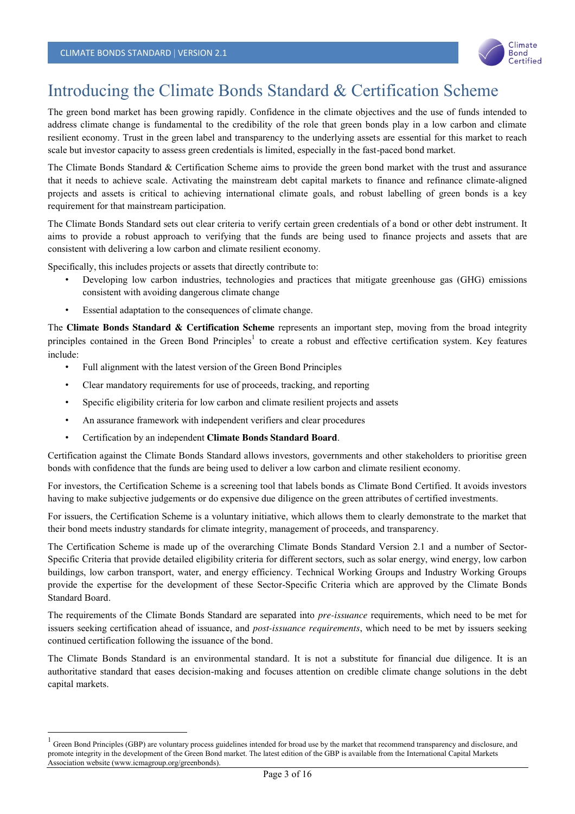

# Introducing the Climate Bonds Standard & Certification Scheme

The green bond market has been growing rapidly. Confidence in the climate objectives and the use of funds intended to address climate change is fundamental to the credibility of the role that green bonds play in a low carbon and climate resilient economy. Trust in the green label and transparency to the underlying assets are essential for this market to reach scale but investor capacity to assess green credentials is limited, especially in the fast-paced bond market.

The Climate Bonds Standard & Certification Scheme aims to provide the green bond market with the trust and assurance that it needs to achieve scale. Activating the mainstream debt capital markets to finance and refinance climate-aligned projects and assets is critical to achieving international climate goals, and robust labelling of green bonds is a key requirement for that mainstream participation.

The Climate Bonds Standard sets out clear criteria to verify certain green credentials of a bond or other debt instrument. It aims to provide a robust approach to verifying that the funds are being used to finance projects and assets that are consistent with delivering a low carbon and climate resilient economy.

Specifically, this includes projects or assets that directly contribute to:

- Developing low carbon industries, technologies and practices that mitigate greenhouse gas (GHG) emissions consistent with avoiding dangerous climate change
- Essential adaptation to the consequences of climate change.

The **Climate Bonds Standard & Certification Scheme** represents an important step, moving from the broad integrity principles contained in the Green Bond Principles<sup>1</sup> to create a robust and effective certification system. Key features include:

- Full alignment with the latest version of the Green Bond Principles
- Clear mandatory requirements for use of proceeds, tracking, and reporting
- Specific eligibility criteria for low carbon and climate resilient projects and assets
- An assurance framework with independent verifiers and clear procedures
- Certification by an independent **Climate Bonds Standard Board**.

Certification against the Climate Bonds Standard allows investors, governments and other stakeholders to prioritise green bonds with confidence that the funds are being used to deliver a low carbon and climate resilient economy.

For investors, the Certification Scheme is a screening tool that labels bonds as Climate Bond Certified. It avoids investors having to make subjective judgements or do expensive due diligence on the green attributes of certified investments.

For issuers, the Certification Scheme is a voluntary initiative, which allows them to clearly demonstrate to the market that their bond meets industry standards for climate integrity, management of proceeds, and transparency.

The Certification Scheme is made up of the overarching Climate Bonds Standard Version 2.1 and a number of Sector-Specific Criteria that provide detailed eligibility criteria for different sectors, such as solar energy, wind energy, low carbon buildings, low carbon transport, water, and energy efficiency. Technical Working Groups and Industry Working Groups provide the expertise for the development of these Sector-Specific Criteria which are approved by the Climate Bonds Standard Board.

The requirements of the Climate Bonds Standard are separated into *pre-issuance* requirements, which need to be met for issuers seeking certification ahead of issuance, and *post-issuance requirements*, which need to be met by issuers seeking continued certification following the issuance of the bond.

The Climate Bonds Standard is an environmental standard. It is not a substitute for financial due diligence. It is an authoritative standard that eases decision-making and focuses attention on credible climate change solutions in the debt capital markets.

 $1$  Green Bond Principles (GBP) are voluntary process guidelines intended for broad use by the market that recommend transparency and disclosure, and promote integrity in the development of the Green Bond market. The latest edition of the GBP is available from the International Capital Markets Association website (www.icmagroup.org/greenbonds).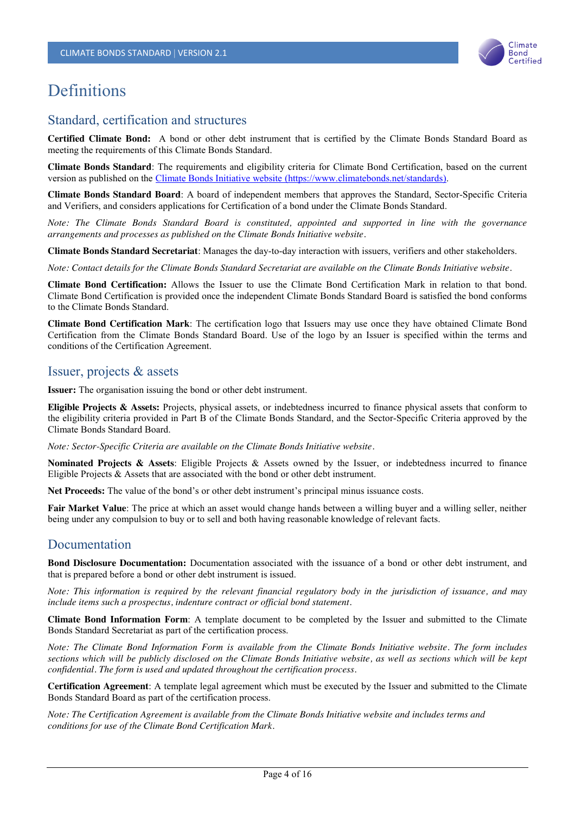

# **Definitions**

## Standard, certification and structures

**Certified Climate Bond:** A bond or other debt instrument that is certified by the Climate Bonds Standard Board as meeting the requirements of this Climate Bonds Standard.

**Climate Bonds Standard**: The requirements and eligibility criteria for Climate Bond Certification, based on the current version as published on the Climate Bonds Initiative website (https://www.climatebonds.net/standards).

**Climate Bonds Standard Board**: A board of independent members that approves the Standard, Sector-Specific Criteria and Verifiers, and considers applications for Certification of a bond under the Climate Bonds Standard.

*Note: The Climate Bonds Standard Board is constituted, appointed and supported in line with the governance arrangements and processes as published on the Climate Bonds Initiative website.*

**Climate Bonds Standard Secretariat**: Manages the day-to-day interaction with issuers, verifiers and other stakeholders.

*Note: Contact details for the Climate Bonds Standard Secretariat are available on the Climate Bonds Initiative website.*

**Climate Bond Certification:** Allows the Issuer to use the Climate Bond Certification Mark in relation to that bond. Climate Bond Certification is provided once the independent Climate Bonds Standard Board is satisfied the bond conforms to the Climate Bonds Standard.

**Climate Bond Certification Mark**: The certification logo that Issuers may use once they have obtained Climate Bond Certification from the Climate Bonds Standard Board. Use of the logo by an Issuer is specified within the terms and conditions of the Certification Agreement.

## Issuer, projects & assets

**Issuer:** The organisation issuing the bond or other debt instrument.

**Eligible Projects & Assets:** Projects, physical assets, or indebtedness incurred to finance physical assets that conform to the eligibility criteria provided in Part B of the Climate Bonds Standard, and the Sector-Specific Criteria approved by the Climate Bonds Standard Board.

*Note: Sector-Specific Criteria are available on the Climate Bonds Initiative website.*

**Nominated Projects & Assets**: Eligible Projects & Assets owned by the Issuer, or indebtedness incurred to finance Eligible Projects & Assets that are associated with the bond or other debt instrument.

**Net Proceeds:** The value of the bond's or other debt instrument's principal minus issuance costs.

**Fair Market Value**: The price at which an asset would change hands between a willing buyer and a willing seller, neither being under any compulsion to buy or to sell and both having reasonable knowledge of relevant facts.

## Documentation

**Bond Disclosure Documentation:** Documentation associated with the issuance of a bond or other debt instrument, and that is prepared before a bond or other debt instrument is issued.

*Note: This information is required by the relevant financial regulatory body in the jurisdiction of issuance, and may include items such a prospectus, indenture contract or official bond statement.*

**Climate Bond Information Form**: A template document to be completed by the Issuer and submitted to the Climate Bonds Standard Secretariat as part of the certification process.

*Note: The Climate Bond Information Form is available from the Climate Bonds Initiative website. The form includes sections which will be publicly disclosed on the Climate Bonds Initiative website, as well as sections which will be kept confidential. The form is used and updated throughout the certification process.*

**Certification Agreement**: A template legal agreement which must be executed by the Issuer and submitted to the Climate Bonds Standard Board as part of the certification process.

*Note: The Certification Agreement is available from the Climate Bonds Initiative website and includes terms and conditions for use of the Climate Bond Certification Mark.*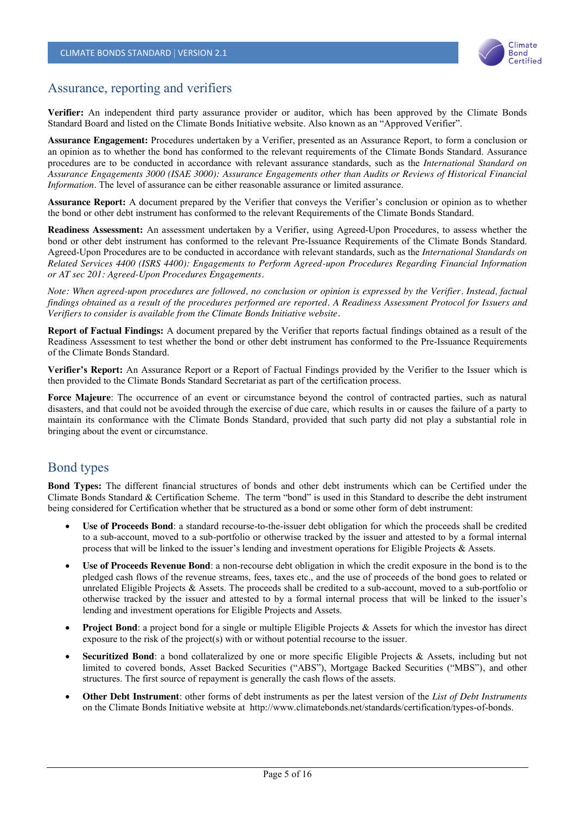

## Assurance, reporting and verifiers

**Verifier:** An independent third party assurance provider or auditor, which has been approved by the Climate Bonds Standard Board and listed on the Climate Bonds Initiative website. Also known as an "Approved Verifier".

**Assurance Engagement:** Procedures undertaken by a Verifier, presented as an Assurance Report, to form a conclusion or an opinion as to whether the bond has conformed to the relevant requirements of the Climate Bonds Standard. Assurance procedures are to be conducted in accordance with relevant assurance standards, such as the *International Standard on Assurance Engagements 3000 (ISAE 3000): Assurance Engagements other than Audits or Reviews of Historical Financial Information*. The level of assurance can be either reasonable assurance or limited assurance.

**Assurance Report:** A document prepared by the Verifier that conveys the Verifier's conclusion or opinion as to whether the bond or other debt instrument has conformed to the relevant Requirements of the Climate Bonds Standard.

**Readiness Assessment:** An assessment undertaken by a Verifier, using Agreed-Upon Procedures, to assess whether the bond or other debt instrument has conformed to the relevant Pre-Issuance Requirements of the Climate Bonds Standard. Agreed-Upon Procedures are to be conducted in accordance with relevant standards, such as the *International Standards on Related Services 4400 (ISRS 4400): Engagements to Perform Agreed-upon Procedures Regarding Financial Information or AT sec 201: Agreed-Upon Procedures Engagements.*

*Note: When agreed-upon procedures are followed, no conclusion or opinion is expressed by the Verifier. Instead, factual findings obtained as a result of the procedures performed are reported. A Readiness Assessment Protocol for Issuers and Verifiers to consider is available from the Climate Bonds Initiative website.*

**Report of Factual Findings:** A document prepared by the Verifier that reports factual findings obtained as a result of the Readiness Assessment to test whether the bond or other debt instrument has conformed to the Pre-Issuance Requirements of the Climate Bonds Standard.

**Verifier's Report:** An Assurance Report or a Report of Factual Findings provided by the Verifier to the Issuer which is then provided to the Climate Bonds Standard Secretariat as part of the certification process.

**Force Majeure**: The occurrence of an event or circumstance beyond the control of contracted parties, such as natural disasters, and that could not be avoided through the exercise of due care, which results in or causes the failure of a party to maintain its conformance with the Climate Bonds Standard, provided that such party did not play a substantial role in bringing about the event or circumstance.

## Bond types

**Bond Types:** The different financial structures of bonds and other debt instruments which can be Certified under the Climate Bonds Standard & Certification Scheme. The term "bond" is used in this Standard to describe the debt instrument being considered for Certification whether that be structured as a bond or some other form of debt instrument:

- x **Use of Proceeds Bond**: a standard recourse-to-the-issuer debt obligation for which the proceeds shall be credited to a sub-account, moved to a sub-portfolio or otherwise tracked by the issuer and attested to by a formal internal process that will be linked to the issuer's lending and investment operations for Eligible Projects & Assets.
- **Use of Proceeds Revenue Bond**: a non-recourse debt obligation in which the credit exposure in the bond is to the pledged cash flows of the revenue streams, fees, taxes etc., and the use of proceeds of the bond goes to related or unrelated Eligible Projects & Assets. The proceeds shall be credited to a sub-account, moved to a sub-portfolio or otherwise tracked by the issuer and attested to by a formal internal process that will be linked to the issuer's lending and investment operations for Eligible Projects and Assets.
- **Project Bond**: a project bond for a single or multiple Eligible Projects & Assets for which the investor has direct exposure to the risk of the project(s) with or without potential recourse to the issuer.
- **Securitized Bond**: a bond collateralized by one or more specific Eligible Projects & Assets, including but not limited to covered bonds, Asset Backed Securities ("ABS"), Mortgage Backed Securities ("MBS"), and other structures. The first source of repayment is generally the cash flows of the assets.
- x **Other Debt Instrument**: other forms of debt instruments as per the latest version of the *List of Debt Instruments* on the Climate Bonds Initiative website at http://www.climatebonds.net/standards/certification/types-of-bonds.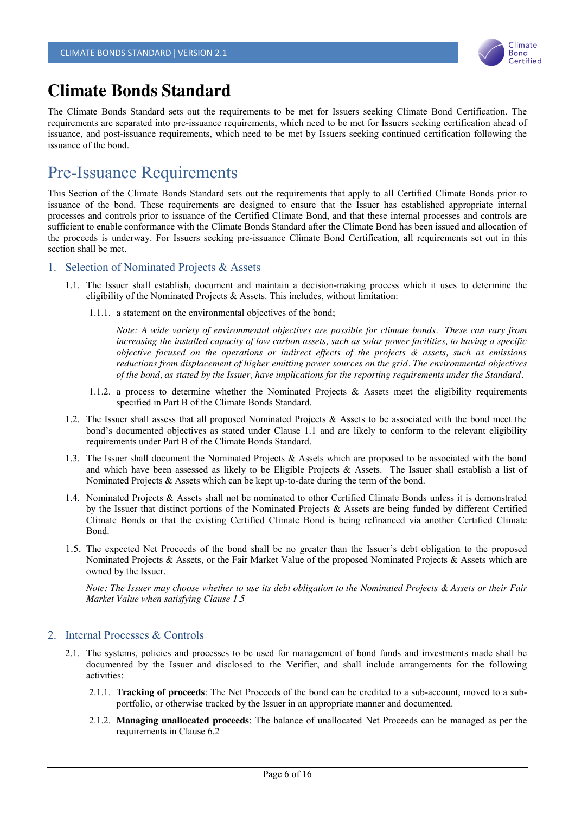

# **Climate Bonds Standard**

The Climate Bonds Standard sets out the requirements to be met for Issuers seeking Climate Bond Certification. The requirements are separated into pre-issuance requirements, which need to be met for Issuers seeking certification ahead of issuance, and post-issuance requirements, which need to be met by Issuers seeking continued certification following the issuance of the bond.

# Pre-Issuance Requirements

This Section of the Climate Bonds Standard sets out the requirements that apply to all Certified Climate Bonds prior to issuance of the bond. These requirements are designed to ensure that the Issuer has established appropriate internal processes and controls prior to issuance of the Certified Climate Bond, and that these internal processes and controls are sufficient to enable conformance with the Climate Bonds Standard after the Climate Bond has been issued and allocation of the proceeds is underway. For Issuers seeking pre-issuance Climate Bond Certification, all requirements set out in this section shall be met.

#### 1. Selection of Nominated Projects & Assets

- 1.1. The Issuer shall establish, document and maintain a decision-making process which it uses to determine the eligibility of the Nominated Projects & Assets. This includes, without limitation:
	- 1.1.1. a statement on the environmental objectives of the bond;

*Note: A wide variety of environmental objectives are possible for climate bonds. These can vary from increasing the installed capacity of low carbon assets, such as solar power facilities, to having a specific objective focused on the operations or indirect effects of the projects & assets, such as emissions reductions from displacement of higher emitting power sources on the grid. The environmental objectives of the bond, as stated by the Issuer, have implications for the reporting requirements under the Standard.*

- 1.1.2. a process to determine whether the Nominated Projects & Assets meet the eligibility requirements specified in Part B of the Climate Bonds Standard.
- 1.2. The Issuer shall assess that all proposed Nominated Projects  $\&$  Assets to be associated with the bond meet the bond's documented objectives as stated under Clause 1.1 and are likely to conform to the relevant eligibility requirements under Part B of the Climate Bonds Standard.
- 1.3. The Issuer shall document the Nominated Projects & Assets which are proposed to be associated with the bond and which have been assessed as likely to be Eligible Projects & Assets. The Issuer shall establish a list of Nominated Projects & Assets which can be kept up-to-date during the term of the bond.
- 1.4. Nominated Projects & Assets shall not be nominated to other Certified Climate Bonds unless it is demonstrated by the Issuer that distinct portions of the Nominated Projects & Assets are being funded by different Certified Climate Bonds or that the existing Certified Climate Bond is being refinanced via another Certified Climate Bond.
- 1.5. The expected Net Proceeds of the bond shall be no greater than the Issuer's debt obligation to the proposed Nominated Projects & Assets, or the Fair Market Value of the proposed Nominated Projects & Assets which are owned by the Issuer.

*Note: The Issuer may choose whether to use its debt obligation to the Nominated Projects & Assets or their Fair Market Value when satisfying Clause 1.5*

#### 2. Internal Processes & Controls

- 2.1. The systems, policies and processes to be used for management of bond funds and investments made shall be documented by the Issuer and disclosed to the Verifier, and shall include arrangements for the following activities:
	- 2.1.1. **Tracking of proceeds**: The Net Proceeds of the bond can be credited to a sub-account, moved to a subportfolio, or otherwise tracked by the Issuer in an appropriate manner and documented.
	- 2.1.2. **Managing unallocated proceeds**: The balance of unallocated Net Proceeds can be managed as per the requirements in Clause 6.2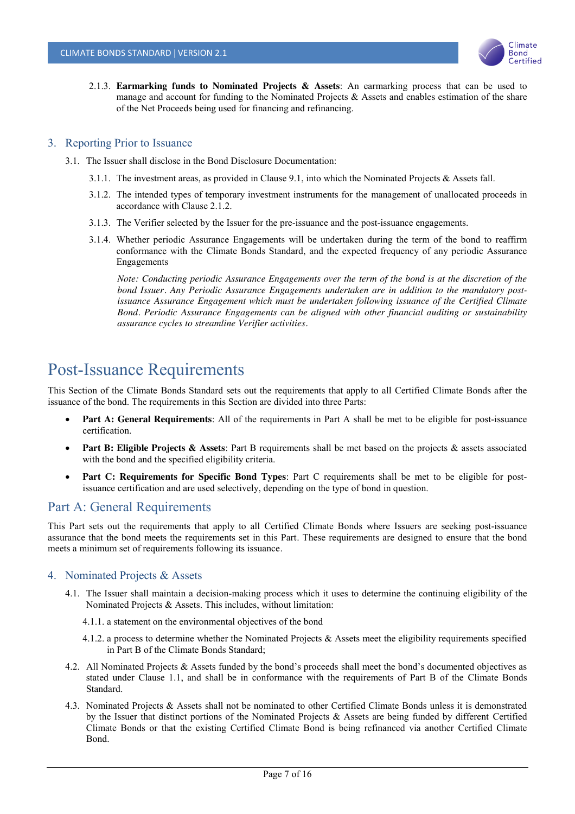

2.1.3. **Earmarking funds to Nominated Projects & Assets**: An earmarking process that can be used to manage and account for funding to the Nominated Projects & Assets and enables estimation of the share of the Net Proceeds being used for financing and refinancing.

#### 3. Reporting Prior to Issuance

- 3.1. The Issuer shall disclose in the Bond Disclosure Documentation:
	- 3.1.1. The investment areas, as provided in Clause 9.1, into which the Nominated Projects & Assets fall.
	- 3.1.2. The intended types of temporary investment instruments for the management of unallocated proceeds in accordance with Clause 2.1.2.
	- 3.1.3. The Verifier selected by the Issuer for the pre-issuance and the post-issuance engagements.
	- 3.1.4. Whether periodic Assurance Engagements will be undertaken during the term of the bond to reaffirm conformance with the Climate Bonds Standard, and the expected frequency of any periodic Assurance Engagements

*Note: Conducting periodic Assurance Engagements over the term of the bond is at the discretion of the bond Issuer. Any Periodic Assurance Engagements undertaken are in addition to the mandatory postissuance Assurance Engagement which must be undertaken following issuance of the Certified Climate Bond. Periodic Assurance Engagements can be aligned with other financial auditing or sustainability assurance cycles to streamline Verifier activities.*

# Post-Issuance Requirements

This Section of the Climate Bonds Standard sets out the requirements that apply to all Certified Climate Bonds after the issuance of the bond. The requirements in this Section are divided into three Parts:

- **Part A: General Requirements**: All of the requirements in Part A shall be met to be eligible for post-issuance certification.
- **Part B: Eligible Projects & Assets**: Part B requirements shall be met based on the projects & assets associated with the bond and the specified eligibility criteria.
- **Part C: Requirements for Specific Bond Types**: Part C requirements shall be met to be eligible for postissuance certification and are used selectively, depending on the type of bond in question.

## Part A: General Requirements

This Part sets out the requirements that apply to all Certified Climate Bonds where Issuers are seeking post-issuance assurance that the bond meets the requirements set in this Part. These requirements are designed to ensure that the bond meets a minimum set of requirements following its issuance.

#### 4. Nominated Projects & Assets

- 4.1. The Issuer shall maintain a decision-making process which it uses to determine the continuing eligibility of the Nominated Projects & Assets. This includes, without limitation:
	- 4.1.1. a statement on the environmental objectives of the bond
	- 4.1.2. a process to determine whether the Nominated Projects  $\&$  Assets meet the eligibility requirements specified in Part B of the Climate Bonds Standard;
- 4.2. All Nominated Projects & Assets funded by the bond's proceeds shall meet the bond's documented objectives as stated under Clause 1.1, and shall be in conformance with the requirements of Part B of the Climate Bonds Standard.
- 4.3. Nominated Projects & Assets shall not be nominated to other Certified Climate Bonds unless it is demonstrated by the Issuer that distinct portions of the Nominated Projects & Assets are being funded by different Certified Climate Bonds or that the existing Certified Climate Bond is being refinanced via another Certified Climate Bond.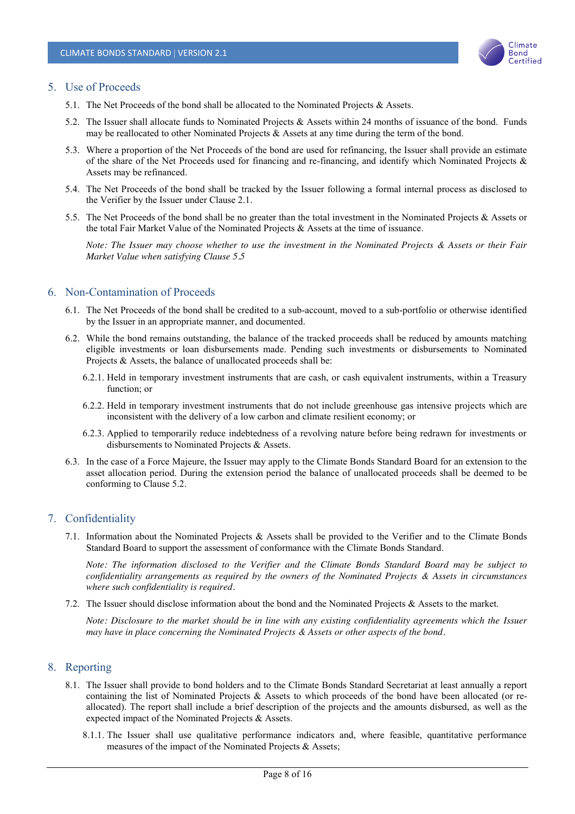

#### 5. Use of Proceeds

- 5.1. The Net Proceeds of the bond shall be allocated to the Nominated Projects & Assets.
- 5.2. The Issuer shall allocate funds to Nominated Projects & Assets within 24 months of issuance of the bond. Funds may be reallocated to other Nominated Projects  $\&$  Assets at any time during the term of the bond.
- 5.3. Where a proportion of the Net Proceeds of the bond are used for refinancing, the Issuer shall provide an estimate of the share of the Net Proceeds used for financing and re-financing, and identify which Nominated Projects & Assets may be refinanced.
- 5.4. The Net Proceeds of the bond shall be tracked by the Issuer following a formal internal process as disclosed to the Verifier by the Issuer under Clause 2.1.
- 5.5. The Net Proceeds of the bond shall be no greater than the total investment in the Nominated Projects & Assets or the total Fair Market Value of the Nominated Projects & Assets at the time of issuance.

*Note: The Issuer may choose whether to use the investment in the Nominated Projects & Assets or their Fair Market Value when satisfying Clause 5.5*

#### 6. Non-Contamination of Proceeds

- 6.1. The Net Proceeds of the bond shall be credited to a sub-account, moved to a sub-portfolio or otherwise identified by the Issuer in an appropriate manner, and documented.
- 6.2. While the bond remains outstanding, the balance of the tracked proceeds shall be reduced by amounts matching eligible investments or loan disbursements made. Pending such investments or disbursements to Nominated Projects & Assets, the balance of unallocated proceeds shall be:
	- 6.2.1. Held in temporary investment instruments that are cash, or cash equivalent instruments, within a Treasury function; or
	- 6.2.2. Held in temporary investment instruments that do not include greenhouse gas intensive projects which are inconsistent with the delivery of a low carbon and climate resilient economy; or
	- 6.2.3. Applied to temporarily reduce indebtedness of a revolving nature before being redrawn for investments or disbursements to Nominated Projects & Assets.
- 6.3. In the case of a Force Majeure, the Issuer may apply to the Climate Bonds Standard Board for an extension to the asset allocation period. During the extension period the balance of unallocated proceeds shall be deemed to be conforming to Clause 5.2.

#### 7. Confidentiality

7.1. Information about the Nominated Projects & Assets shall be provided to the Verifier and to the Climate Bonds Standard Board to support the assessment of conformance with the Climate Bonds Standard.

*Note: The information disclosed to the Verifier and the Climate Bonds Standard Board may be subject to confidentiality arrangements as required by the owners of the Nominated Projects & Assets in circumstances where such confidentiality is required.* 

7.2. The Issuer should disclose information about the bond and the Nominated Projects & Assets to the market.

*Note: Disclosure to the market should be in line with any existing confidentiality agreements which the Issuer may have in place concerning the Nominated Projects & Assets or other aspects of the bond.*

#### 8. Reporting

- 8.1. The Issuer shall provide to bond holders and to the Climate Bonds Standard Secretariat at least annually a report containing the list of Nominated Projects & Assets to which proceeds of the bond have been allocated (or reallocated). The report shall include a brief description of the projects and the amounts disbursed, as well as the expected impact of the Nominated Projects & Assets.
	- 8.1.1. The Issuer shall use qualitative performance indicators and, where feasible, quantitative performance measures of the impact of the Nominated Projects & Assets;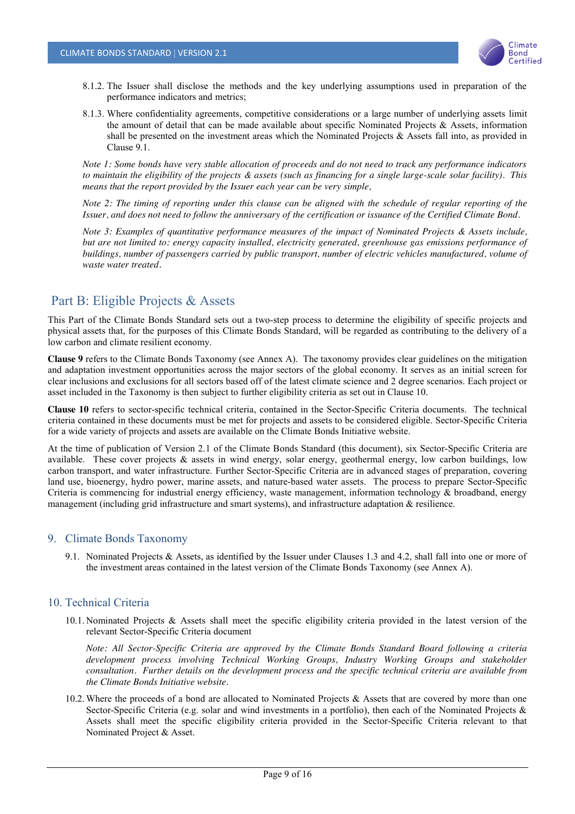

- 8.1.2. The Issuer shall disclose the methods and the key underlying assumptions used in preparation of the performance indicators and metrics;
- 8.1.3. Where confidentiality agreements, competitive considerations or a large number of underlying assets limit the amount of detail that can be made available about specific Nominated Projects  $\&$  Assets, information shall be presented on the investment areas which the Nominated Projects & Assets fall into, as provided in Clause 9.1.

*Note 1: Some bonds have very stable allocation of proceeds and do not need to track any performance indicators to maintain the eligibility of the projects & assets (such as financing for a single large-scale solar facility). This means that the report provided by the Issuer each year can be very simple,*

*Note 2: The timing of reporting under this clause can be aligned with the schedule of regular reporting of the Issuer, and does not need to follow the anniversary of the certification or issuance of the Certified Climate Bond.*

*Note 3: Examples of quantitative performance measures of the impact of Nominated Projects & Assets include, but are not limited to: energy capacity installed, electricity generated, greenhouse gas emissions performance of buildings, number of passengers carried by public transport, number of electric vehicles manufactured, volume of waste water treated.*

## Part B: Eligible Projects & Assets

This Part of the Climate Bonds Standard sets out a two-step process to determine the eligibility of specific projects and physical assets that, for the purposes of this Climate Bonds Standard, will be regarded as contributing to the delivery of a low carbon and climate resilient economy.

**Clause 9** refers to the Climate Bonds Taxonomy (see Annex A). The taxonomy provides clear guidelines on the mitigation and adaptation investment opportunities across the major sectors of the global economy. It serves as an initial screen for clear inclusions and exclusions for all sectors based off of the latest climate science and 2 degree scenarios. Each project or asset included in the Taxonomy is then subject to further eligibility criteria as set out in Clause 10.

**Clause 10** refers to sector-specific technical criteria, contained in the Sector-Specific Criteria documents. The technical criteria contained in these documents must be met for projects and assets to be considered eligible. Sector-Specific Criteria for a wide variety of projects and assets are available on the Climate Bonds Initiative website.

At the time of publication of Version 2.1 of the Climate Bonds Standard (this document), six Sector-Specific Criteria are available. These cover projects & assets in wind energy, solar energy, geothermal energy, low carbon buildings, low carbon transport, and water infrastructure. Further Sector-Specific Criteria are in advanced stages of preparation, covering land use, bioenergy, hydro power, marine assets, and nature-based water assets. The process to prepare Sector-Specific Criteria is commencing for industrial energy efficiency, waste management, information technology  $\&$  broadband, energy management (including grid infrastructure and smart systems), and infrastructure adaptation & resilience.

#### 9. Climate Bonds Taxonomy

9.1. Nominated Projects & Assets, as identified by the Issuer under Clauses 1.3 and 4.2, shall fall into one or more of the investment areas contained in the latest version of the Climate Bonds Taxonomy (see Annex A).

#### 10. Technical Criteria

10.1. Nominated Projects & Assets shall meet the specific eligibility criteria provided in the latest version of the relevant Sector-Specific Criteria document

*Note: All Sector-Specific Criteria are approved by the Climate Bonds Standard Board following a criteria development process involving Technical Working Groups, Industry Working Groups and stakeholder consultation. Further details on the development process and the specific technical criteria are available from the Climate Bonds Initiative website.*

10.2.Where the proceeds of a bond are allocated to Nominated Projects & Assets that are covered by more than one Sector-Specific Criteria (e.g. solar and wind investments in a portfolio), then each of the Nominated Projects & Assets shall meet the specific eligibility criteria provided in the Sector-Specific Criteria relevant to that Nominated Project & Asset.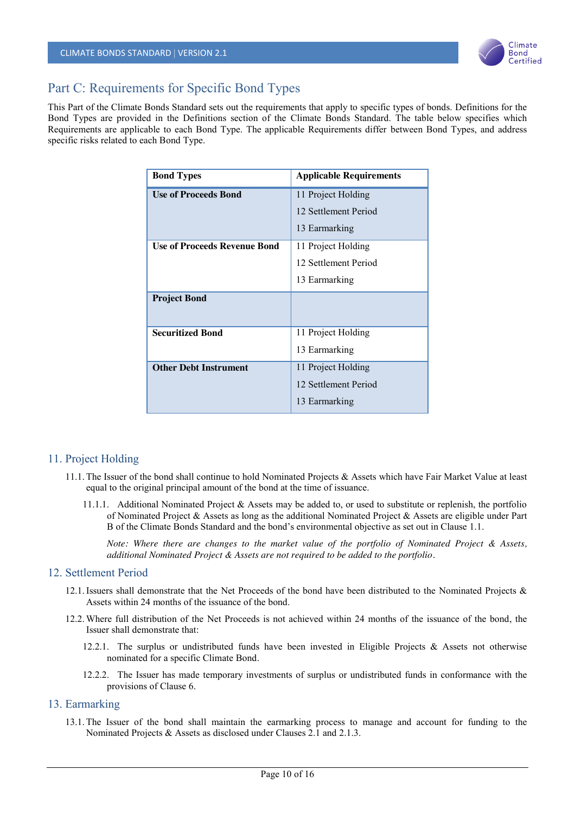

## Part C: Requirements for Specific Bond Types

This Part of the Climate Bonds Standard sets out the requirements that apply to specific types of bonds. Definitions for the Bond Types are provided in the Definitions section of the Climate Bonds Standard. The table below specifies which Requirements are applicable to each Bond Type. The applicable Requirements differ between Bond Types, and address specific risks related to each Bond Type.

| <b>Bond Types</b>                   | <b>Applicable Requirements</b> |
|-------------------------------------|--------------------------------|
| <b>Use of Proceeds Bond</b>         | 11 Project Holding             |
|                                     | 12 Settlement Period           |
|                                     | 13 Earmarking                  |
| <b>Use of Proceeds Revenue Bond</b> | 11 Project Holding             |
|                                     | 12 Settlement Period           |
|                                     | 13 Earmarking                  |
| <b>Project Bond</b>                 |                                |
| <b>Securitized Bond</b>             | 11 Project Holding             |
|                                     | 13 Earmarking                  |
| <b>Other Debt Instrument</b>        | 11 Project Holding             |
|                                     | 12 Settlement Period           |
|                                     | 13 Earmarking                  |

#### 11. Project Holding

- 11.1.The Issuer of the bond shall continue to hold Nominated Projects & Assets which have Fair Market Value at least equal to the original principal amount of the bond at the time of issuance.
	- 11.1.1. Additional Nominated Project & Assets may be added to, or used to substitute or replenish, the portfolio of Nominated Project & Assets as long as the additional Nominated Project & Assets are eligible under Part B of the Climate Bonds Standard and the bond's environmental objective as set out in Clause 1.1.

*Note: Where there are changes to the market value of the portfolio of Nominated Project & Assets, additional Nominated Project & Assets are not required to be added to the portfolio.*

#### 12. Settlement Period

- 12.1.Issuers shall demonstrate that the Net Proceeds of the bond have been distributed to the Nominated Projects & Assets within 24 months of the issuance of the bond.
- 12.2.Where full distribution of the Net Proceeds is not achieved within 24 months of the issuance of the bond, the Issuer shall demonstrate that:
	- 12.2.1. The surplus or undistributed funds have been invested in Eligible Projects & Assets not otherwise nominated for a specific Climate Bond.
	- 12.2.2. The Issuer has made temporary investments of surplus or undistributed funds in conformance with the provisions of Clause 6.

#### 13. Earmarking

13.1.The Issuer of the bond shall maintain the earmarking process to manage and account for funding to the Nominated Projects & Assets as disclosed under Clauses 2.1 and 2.1.3.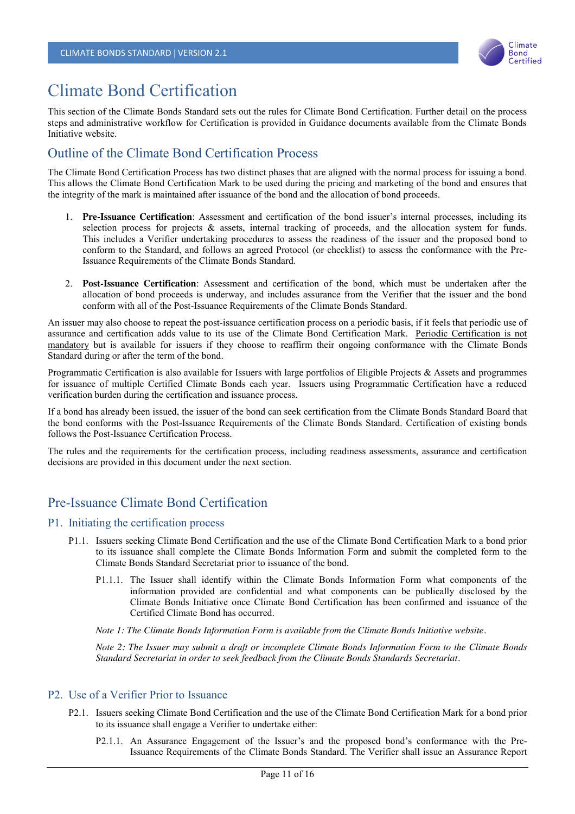

# Climate Bond Certification

This section of the Climate Bonds Standard sets out the rules for Climate Bond Certification. Further detail on the process steps and administrative workflow for Certification is provided in Guidance documents available from the Climate Bonds Initiative website.

## Outline of the Climate Bond Certification Process

The Climate Bond Certification Process has two distinct phases that are aligned with the normal process for issuing a bond. This allows the Climate Bond Certification Mark to be used during the pricing and marketing of the bond and ensures that the integrity of the mark is maintained after issuance of the bond and the allocation of bond proceeds.

- 1. **Pre-Issuance Certification**: Assessment and certification of the bond issuer's internal processes, including its selection process for projects & assets, internal tracking of proceeds, and the allocation system for funds. This includes a Verifier undertaking procedures to assess the readiness of the issuer and the proposed bond to conform to the Standard, and follows an agreed Protocol (or checklist) to assess the conformance with the Pre-Issuance Requirements of the Climate Bonds Standard.
- 2. **Post-Issuance Certification**: Assessment and certification of the bond, which must be undertaken after the allocation of bond proceeds is underway, and includes assurance from the Verifier that the issuer and the bond conform with all of the Post-Issuance Requirements of the Climate Bonds Standard.

An issuer may also choose to repeat the post-issuance certification process on a periodic basis, if it feels that periodic use of assurance and certification adds value to its use of the Climate Bond Certification Mark. Periodic Certification is not mandatory but is available for issuers if they choose to reaffirm their ongoing conformance with the Climate Bonds Standard during or after the term of the bond.

Programmatic Certification is also available for Issuers with large portfolios of Eligible Projects & Assets and programmes for issuance of multiple Certified Climate Bonds each year. Issuers using Programmatic Certification have a reduced verification burden during the certification and issuance process.

If a bond has already been issued, the issuer of the bond can seek certification from the Climate Bonds Standard Board that the bond conforms with the Post-Issuance Requirements of the Climate Bonds Standard. Certification of existing bonds follows the Post-Issuance Certification Process.

The rules and the requirements for the certification process, including readiness assessments, assurance and certification decisions are provided in this document under the next section.

## Pre-Issuance Climate Bond Certification

#### P1. Initiating the certification process

- P1.1. Issuers seeking Climate Bond Certification and the use of the Climate Bond Certification Mark to a bond prior to its issuance shall complete the Climate Bonds Information Form and submit the completed form to the Climate Bonds Standard Secretariat prior to issuance of the bond.
	- P1.1.1. The Issuer shall identify within the Climate Bonds Information Form what components of the information provided are confidential and what components can be publically disclosed by the Climate Bonds Initiative once Climate Bond Certification has been confirmed and issuance of the Certified Climate Bond has occurred.

*Note 1: The Climate Bonds Information Form is available from the Climate Bonds Initiative website.*

*Note 2: The Issuer may submit a draft or incomplete Climate Bonds Information Form to the Climate Bonds Standard Secretariat in order to seek feedback from the Climate Bonds Standards Secretariat.*

#### P2. Use of a Verifier Prior to Issuance

- P2.1. Issuers seeking Climate Bond Certification and the use of the Climate Bond Certification Mark for a bond prior to its issuance shall engage a Verifier to undertake either:
	- P2.1.1. An Assurance Engagement of the Issuer's and the proposed bond's conformance with the Pre-Issuance Requirements of the Climate Bonds Standard. The Verifier shall issue an Assurance Report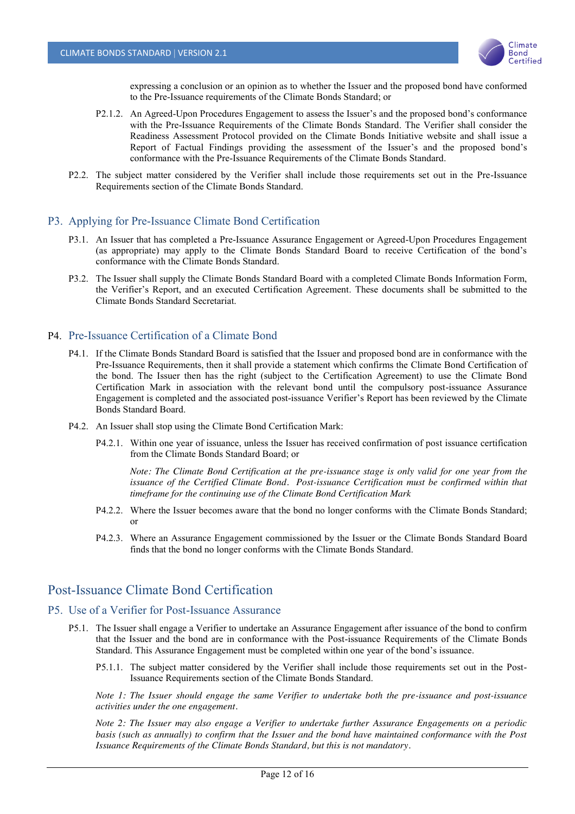

expressing a conclusion or an opinion as to whether the Issuer and the proposed bond have conformed to the Pre-Issuance requirements of the Climate Bonds Standard; or

- P2.1.2. An Agreed-Upon Procedures Engagement to assess the Issuer's and the proposed bond's conformance with the Pre-Issuance Requirements of the Climate Bonds Standard. The Verifier shall consider the Readiness Assessment Protocol provided on the Climate Bonds Initiative website and shall issue a Report of Factual Findings providing the assessment of the Issuer's and the proposed bond's conformance with the Pre-Issuance Requirements of the Climate Bonds Standard.
- P2.2. The subject matter considered by the Verifier shall include those requirements set out in the Pre-Issuance Requirements section of the Climate Bonds Standard.

#### P3. Applying for Pre-Issuance Climate Bond Certification

- P3.1. An Issuer that has completed a Pre-Issuance Assurance Engagement or Agreed-Upon Procedures Engagement (as appropriate) may apply to the Climate Bonds Standard Board to receive Certification of the bond's conformance with the Climate Bonds Standard.
- P3.2. The Issuer shall supply the Climate Bonds Standard Board with a completed Climate Bonds Information Form, the Verifier's Report, and an executed Certification Agreement. These documents shall be submitted to the Climate Bonds Standard Secretariat.

#### P4. Pre-Issuance Certification of a Climate Bond

- P4.1. If the Climate Bonds Standard Board is satisfied that the Issuer and proposed bond are in conformance with the Pre-Issuance Requirements, then it shall provide a statement which confirms the Climate Bond Certification of the bond. The Issuer then has the right (subject to the Certification Agreement) to use the Climate Bond Certification Mark in association with the relevant bond until the compulsory post-issuance Assurance Engagement is completed and the associated post-issuance Verifier's Report has been reviewed by the Climate Bonds Standard Board.
- P4.2. An Issuer shall stop using the Climate Bond Certification Mark:
	- P4.2.1. Within one year of issuance, unless the Issuer has received confirmation of post issuance certification from the Climate Bonds Standard Board; or

*Note: The Climate Bond Certification at the pre-issuance stage is only valid for one year from the*  issuance of the Certified Climate Bond. Post-issuance Certification must be confirmed within that *timeframe for the continuing use of the Climate Bond Certification Mark*

- P4.2.2. Where the Issuer becomes aware that the bond no longer conforms with the Climate Bonds Standard; or
- P4.2.3. Where an Assurance Engagement commissioned by the Issuer or the Climate Bonds Standard Board finds that the bond no longer conforms with the Climate Bonds Standard.

## Post-Issuance Climate Bond Certification

#### P5. Use of a Verifier for Post-Issuance Assurance

- P5.1. The Issuer shall engage a Verifier to undertake an Assurance Engagement after issuance of the bond to confirm that the Issuer and the bond are in conformance with the Post-issuance Requirements of the Climate Bonds Standard. This Assurance Engagement must be completed within one year of the bond's issuance.
	- P5.1.1. The subject matter considered by the Verifier shall include those requirements set out in the Post-Issuance Requirements section of the Climate Bonds Standard.

*Note 1: The Issuer should engage the same Verifier to undertake both the pre-issuance and post-issuance activities under the one engagement.*

*Note 2: The Issuer may also engage a Verifier to undertake further Assurance Engagements on a periodic basis (such as annually) to confirm that the Issuer and the bond have maintained conformance with the Post Issuance Requirements of the Climate Bonds Standard, but this is not mandatory.*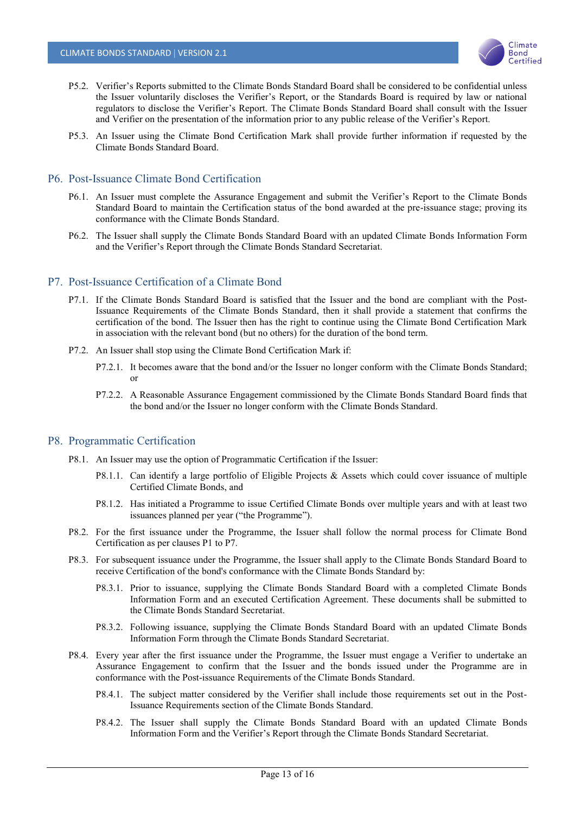

- P5.2. Verifier's Reports submitted to the Climate Bonds Standard Board shall be considered to be confidential unless the Issuer voluntarily discloses the Verifier's Report, or the Standards Board is required by law or national regulators to disclose the Verifier's Report. The Climate Bonds Standard Board shall consult with the Issuer and Verifier on the presentation of the information prior to any public release of the Verifier's Report.
- P5.3. An Issuer using the Climate Bond Certification Mark shall provide further information if requested by the Climate Bonds Standard Board.

#### P6. Post-Issuance Climate Bond Certification

- P6.1. An Issuer must complete the Assurance Engagement and submit the Verifier's Report to the Climate Bonds Standard Board to maintain the Certification status of the bond awarded at the pre-issuance stage; proving its conformance with the Climate Bonds Standard.
- P6.2. The Issuer shall supply the Climate Bonds Standard Board with an updated Climate Bonds Information Form and the Verifier's Report through the Climate Bonds Standard Secretariat.

#### P7. Post-Issuance Certification of a Climate Bond

- P7.1. If the Climate Bonds Standard Board is satisfied that the Issuer and the bond are compliant with the Post-Issuance Requirements of the Climate Bonds Standard, then it shall provide a statement that confirms the certification of the bond. The Issuer then has the right to continue using the Climate Bond Certification Mark in association with the relevant bond (but no others) for the duration of the bond term.
- P7.2. An Issuer shall stop using the Climate Bond Certification Mark if:
	- P7.2.1. It becomes aware that the bond and/or the Issuer no longer conform with the Climate Bonds Standard; or
	- P7.2.2. A Reasonable Assurance Engagement commissioned by the Climate Bonds Standard Board finds that the bond and/or the Issuer no longer conform with the Climate Bonds Standard.

#### P8. Programmatic Certification

- P8.1. An Issuer may use the option of Programmatic Certification if the Issuer:
	- P8.1.1. Can identify a large portfolio of Eligible Projects & Assets which could cover issuance of multiple Certified Climate Bonds, and
	- P8.1.2. Has initiated a Programme to issue Certified Climate Bonds over multiple years and with at least two issuances planned per year ("the Programme").
- P8.2. For the first issuance under the Programme, the Issuer shall follow the normal process for Climate Bond Certification as per clauses P1 to P7.
- P8.3. For subsequent issuance under the Programme, the Issuer shall apply to the Climate Bonds Standard Board to receive Certification of the bond's conformance with the Climate Bonds Standard by:
	- P8.3.1. Prior to issuance, supplying the Climate Bonds Standard Board with a completed Climate Bonds Information Form and an executed Certification Agreement. These documents shall be submitted to the Climate Bonds Standard Secretariat.
	- P8.3.2. Following issuance, supplying the Climate Bonds Standard Board with an updated Climate Bonds Information Form through the Climate Bonds Standard Secretariat.
- P8.4. Every year after the first issuance under the Programme, the Issuer must engage a Verifier to undertake an Assurance Engagement to confirm that the Issuer and the bonds issued under the Programme are in conformance with the Post-issuance Requirements of the Climate Bonds Standard.
	- P8.4.1. The subject matter considered by the Verifier shall include those requirements set out in the Post-Issuance Requirements section of the Climate Bonds Standard.
	- P8.4.2. The Issuer shall supply the Climate Bonds Standard Board with an updated Climate Bonds Information Form and the Verifier's Report through the Climate Bonds Standard Secretariat.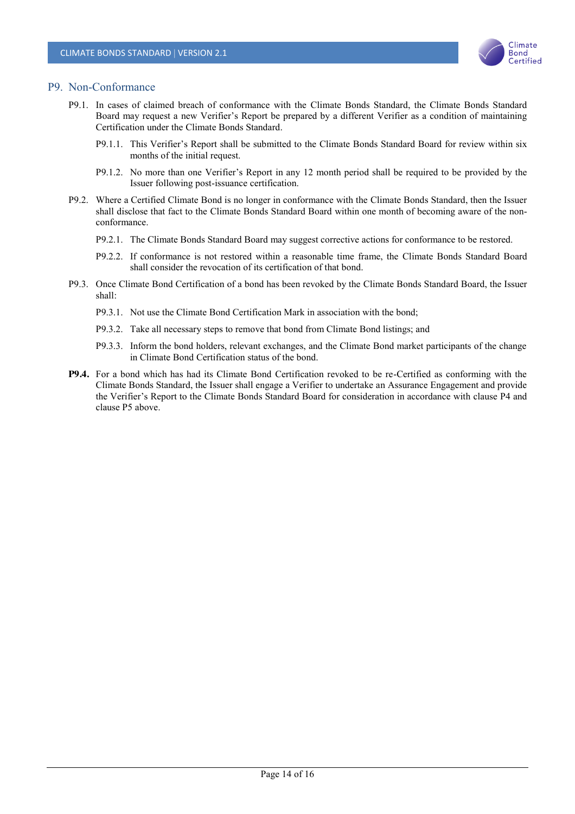

#### P9. Non-Conformance

- P9.1. In cases of claimed breach of conformance with the Climate Bonds Standard, the Climate Bonds Standard Board may request a new Verifier's Report be prepared by a different Verifier as a condition of maintaining Certification under the Climate Bonds Standard.
	- P9.1.1. This Verifier's Report shall be submitted to the Climate Bonds Standard Board for review within six months of the initial request.
	- P9.1.2. No more than one Verifier's Report in any 12 month period shall be required to be provided by the Issuer following post-issuance certification.
- P9.2. Where a Certified Climate Bond is no longer in conformance with the Climate Bonds Standard, then the Issuer shall disclose that fact to the Climate Bonds Standard Board within one month of becoming aware of the nonconformance.
	- P9.2.1. The Climate Bonds Standard Board may suggest corrective actions for conformance to be restored.
	- P9.2.2. If conformance is not restored within a reasonable time frame, the Climate Bonds Standard Board shall consider the revocation of its certification of that bond.
- P9.3. Once Climate Bond Certification of a bond has been revoked by the Climate Bonds Standard Board, the Issuer shall:
	- P9.3.1. Not use the Climate Bond Certification Mark in association with the bond;
	- P9.3.2. Take all necessary steps to remove that bond from Climate Bond listings; and
	- P9.3.3. Inform the bond holders, relevant exchanges, and the Climate Bond market participants of the change in Climate Bond Certification status of the bond.
- **P9.4.** For a bond which has had its Climate Bond Certification revoked to be re-Certified as conforming with the Climate Bonds Standard, the Issuer shall engage a Verifier to undertake an Assurance Engagement and provide the Verifier's Report to the Climate Bonds Standard Board for consideration in accordance with clause P4 and clause P5 above.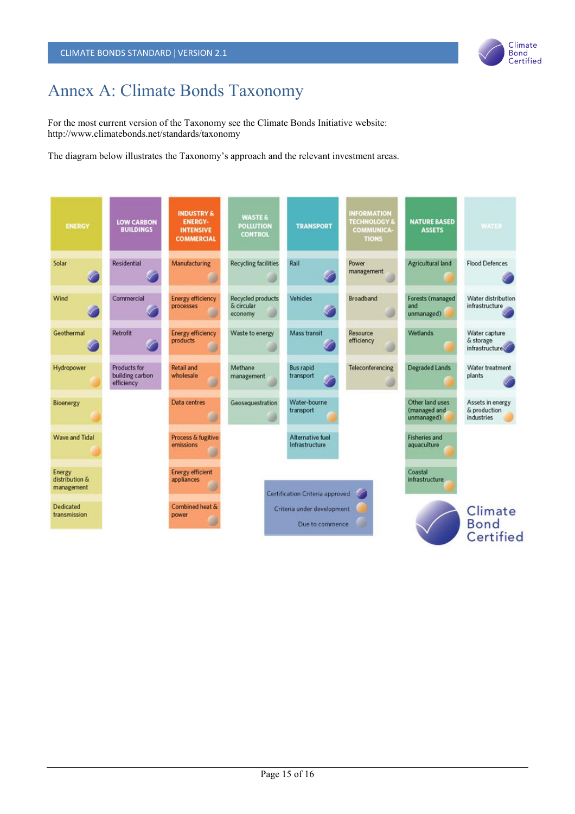

# Annex A: Climate Bonds Taxonomy

For the most current version of the Taxonomy see the Climate Bonds Initiative website: http://www.climatebonds.net/standards/taxonomy

The diagram below illustrates the Taxonomy's approach and the relevant investment areas.